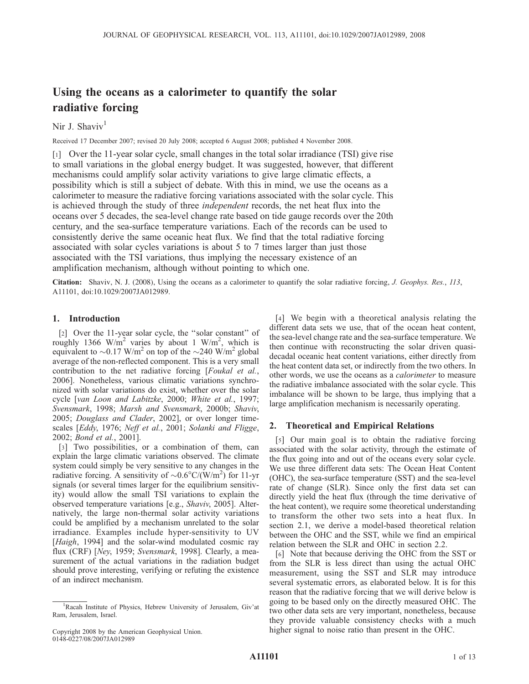# Using the oceans as a calorimeter to quantify the solar radiative forcing

## Nir J. Shaviv<sup>1</sup>

Received 17 December 2007; revised 20 July 2008; accepted 6 August 2008; published 4 November 2008.

[1] Over the 11-year solar cycle, small changes in the total solar irradiance (TSI) give rise to small variations in the global energy budget. It was suggested, however, that different mechanisms could amplify solar activity variations to give large climatic effects, a possibility which is still a subject of debate. With this in mind, we use the oceans as a calorimeter to measure the radiative forcing variations associated with the solar cycle. This is achieved through the study of three *independent* records, the net heat flux into the oceans over 5 decades, the sea-level change rate based on tide gauge records over the 20th century, and the sea-surface temperature variations. Each of the records can be used to consistently derive the same oceanic heat flux. We find that the total radiative forcing associated with solar cycles variations is about 5 to 7 times larger than just those associated with the TSI variations, thus implying the necessary existence of an amplification mechanism, although without pointing to which one.

Citation: Shaviv, N. J. (2008), Using the oceans as a calorimeter to quantify the solar radiative forcing, J. Geophys. Res., 113, A11101, doi:10.1029/2007JA012989.

## 1. Introduction

[2] Over the 11-year solar cycle, the "solar constant" of roughly 1366 W/m<sup>2</sup> varies by about 1 W/m<sup>2</sup>, which is equivalent to  $\sim 0.17$  W/m<sup>2</sup> on top of the  $\sim 240$  W/m<sup>2</sup> global average of the non-reflected component. This is a very small contribution to the net radiative forcing [Foukal et al., 2006]. Nonetheless, various climatic variations synchronized with solar variations do exist, whether over the solar cycle [van Loon and Labitzke, 2000; White et al., 1997; Svensmark, 1998; Marsh and Svensmark, 2000b; Shaviv, 2005; Douglass and Clader, 2002], or over longer timescales [Eddy, 1976; Neff et al., 2001; Solanki and Fligge, 2002; Bond et al., 2001].

[3] Two possibilities, or a combination of them, can explain the large climatic variations observed. The climate system could simply be very sensitive to any changes in the radiative forcing. A sensitivity of  $\sim 0.6^{\circ}C/(W/m^2)$  for 11-yr signals (or several times larger for the equilibrium sensitivity) would allow the small TSI variations to explain the observed temperature variations [e.g., Shaviv, 2005]. Alternatively, the large non-thermal solar activity variations could be amplified by a mechanism unrelated to the solar irradiance. Examples include hyper-sensitivity to UV [Haigh, 1994] and the solar-wind modulated cosmic ray flux (CRF) [Ney, 1959; Svensmark, 1998]. Clearly, a measurement of the actual variations in the radiation budget should prove interesting, verifying or refuting the existence of an indirect mechanism.

[4] We begin with a theoretical analysis relating the different data sets we use, that of the ocean heat content, the sea-level change rate and the sea-surface temperature. We then continue with reconstructing the solar driven quasidecadal oceanic heat content variations, either directly from the heat content data set, or indirectly from the two others. In other words, we use the oceans as a calorimeter to measure the radiative imbalance associated with the solar cycle. This imbalance will be shown to be large, thus implying that a large amplification mechanism is necessarily operating.

## 2. Theoretical and Empirical Relations

[5] Our main goal is to obtain the radiative forcing associated with the solar activity, through the estimate of the flux going into and out of the oceans every solar cycle. We use three different data sets: The Ocean Heat Content (OHC), the sea-surface temperature (SST) and the sea-level rate of change (SLR). Since only the first data set can directly yield the heat flux (through the time derivative of the heat content), we require some theoretical understanding to transform the other two sets into a heat flux. In section 2.1, we derive a model-based theoretical relation between the OHC and the SST, while we find an empirical relation between the SLR and OHC in section 2.2.

[6] Note that because deriving the OHC from the SST or from the SLR is less direct than using the actual OHC measurement, using the SST and SLR may introduce several systematic errors, as elaborated below. It is for this reason that the radiative forcing that we will derive below is going to be based only on the directly measured OHC. The two other data sets are very important, nonetheless, because they provide valuable consistency checks with a much higher signal to noise ratio than present in the OHC.

<sup>&</sup>lt;sup>1</sup>Racah Institute of Physics, Hebrew University of Jerusalem, Giv'at Ram, Jerusalem, Israel.

Copyright 2008 by the American Geophysical Union. 0148-0227/08/2007JA012989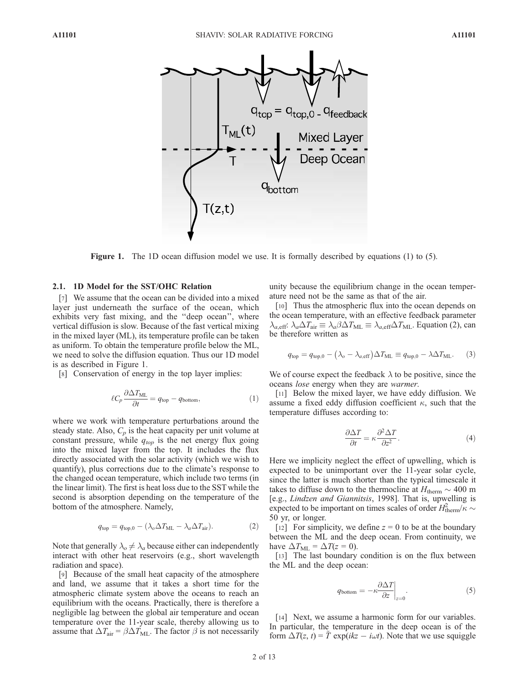

Figure 1. The 1D ocean diffusion model we use. It is formally described by equations (1) to (5).

## 2.1. 1D Model for the SST/OHC Relation

[7] We assume that the ocean can be divided into a mixed layer just underneath the surface of the ocean, which exhibits very fast mixing, and the ''deep ocean'', where vertical diffusion is slow. Because of the fast vertical mixing in the mixed layer (ML), its temperature profile can be taken as uniform. To obtain the temperature profile below the ML, we need to solve the diffusion equation. Thus our 1D model is as described in Figure 1.

[8] Conservation of energy in the top layer implies:

$$
\ell C_p \frac{\partial \Delta T_{\text{ML}}}{\partial t} = q_{\text{top}} - q_{\text{bottom}},\tag{1}
$$

where we work with temperature perturbations around the steady state. Also,  $C_p$  is the heat capacity per unit volume at constant pressure, while  $q_{top}$  is the net energy flux going into the mixed layer from the top. It includes the flux directly associated with the solar activity (which we wish to quantify), plus corrections due to the climate's response to the changed ocean temperature, which include two terms (in the linear limit). The first is heat loss due to the SST while the second is absorption depending on the temperature of the bottom of the atmosphere. Namely,

$$
q_{\text{top}} = q_{\text{top},0} - (\lambda_o \Delta T_{\text{ML}} - \lambda_a \Delta T_{\text{air}}). \tag{2}
$$

Note that generally  $\lambda_o \neq \lambda_a$  because either can independently interact with other heat reservoirs (e.g., short wavelength radiation and space).

[9] Because of the small heat capacity of the atmosphere and land, we assume that it takes a short time for the atmospheric climate system above the oceans to reach an equilibrium with the oceans. Practically, there is therefore a negligible lag between the global air temperature and ocean temperature over the 11-year scale, thereby allowing us to assume that  $\Delta T_{\text{air}} = \beta \Delta T_{\text{ML}}$ . The factor  $\beta$  is not necessarily

unity because the equilibrium change in the ocean temperature need not be the same as that of the air.

[10] Thus the atmospheric flux into the ocean depends on the ocean temperature, with an effective feedback parameter  $\lambda_{a,\text{eff}}$ :  $\lambda_a \Delta T_{\text{air}} \equiv \lambda_a \beta \Delta T_{\text{ML}} \equiv \lambda_{a,\text{eff}} \Delta T_{\text{ML}}$ . Equation (2), can be therefore written as

$$
q_{\text{top}} = q_{\text{top},0} - (\lambda_o - \lambda_{a,\text{eff}}) \Delta T_{\text{ML}} \equiv q_{\text{top},0} - \lambda \Delta T_{\text{ML}}.
$$
 (3)

We of course expect the feedback  $\lambda$  to be positive, since the oceans lose energy when they are warmer.

[11] Below the mixed layer, we have eddy diffusion. We assume a fixed eddy diffusion coefficient  $\kappa$ , such that the temperature diffuses according to:

$$
\frac{\partial \Delta T}{\partial t} = \kappa \frac{\partial^2 \Delta T}{\partial z^2}.
$$
 (4)

Here we implicity neglect the effect of upwelling, which is expected to be unimportant over the 11-year solar cycle, since the latter is much shorter than the typical timescale it takes to diffuse down to the thermocline at  $H_{\text{therm}} \sim 400 \text{ m}$ [e.g., Lindzen and Giannitsis, 1998]. That is, upwelling is expected to be important on times scales of order  $H_{\text{therm}}^2/\kappa \sim$ 50 yr, or longer.

[12] For simplicity, we define  $z = 0$  to be at the boundary between the ML and the deep ocean. From continuity, we have  $\Delta T_{ML} = \Delta T(z = 0)$ .

[13] The last boundary condition is on the flux between the ML and the deep ocean:

$$
q_{\text{bottom}} = -\kappa \frac{\partial \Delta T}{\partial z}\bigg|_{z=0}.
$$
 (5)

[14] Next, we assume a harmonic form for our variables. In particular, the temperature in the deep ocean is of the form  $\Delta T(z, t) = T \exp(ikz - i\omega t)$ . Note that we use squiggle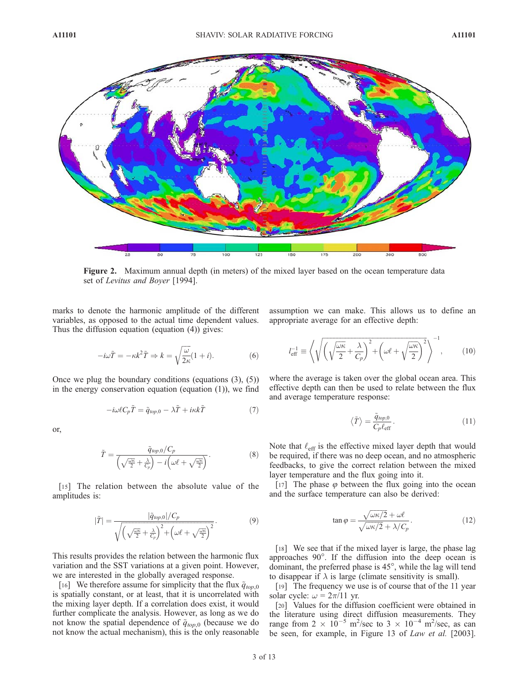

Figure 2. Maximum annual depth (in meters) of the mixed layer based on the ocean temperature data set of Levitus and Boyer [1994].

marks to denote the harmonic amplitude of the different variables, as opposed to the actual time dependent values. Thus the diffusion equation (equation (4)) gives:

$$
-i\omega \tilde{T} = -\kappa k^2 \tilde{T} \Rightarrow k = \sqrt{\frac{\omega}{2\kappa}} (1+i). \tag{6}
$$

Once we plug the boundary conditions (equations  $(3)$ ,  $(5)$ ) in the energy conservation equation (equation (1)), we find

$$
-i\omega \ell C_p \tilde{T} = \tilde{q}_{top,0} - \lambda \tilde{T} + i\kappa k \tilde{T}
$$
 (7)

or,

$$
\tilde{T} = \frac{\tilde{q}_{top,0}/C_p}{\left(\sqrt{\frac{\omega\kappa}{2}} + \frac{\lambda}{C_p}\right) - i\left(\omega\ell + \sqrt{\frac{\omega\kappa}{2}}\right)}.
$$
\n(8)

[15] The relation between the absolute value of the amplitudes is:

$$
|\tilde{T}| = \frac{|\tilde{q}_{top,0}|/C_p}{\sqrt{\left(\sqrt{\frac{\omega\kappa}{2}} + \frac{\lambda}{C_p}\right)^2 + \left(\omega\ell + \sqrt{\frac{\omega\kappa}{2}}\right)^2}}.
$$
(9)

This results provides the relation between the harmonic flux variation and the SST variations at a given point. However, we are interested in the globally averaged response.

[16] We therefore assume for simplicity that the flux  $\tilde{q}_{top,0}$ is spatially constant, or at least, that it is uncorrelated with the mixing layer depth. If a correlation does exist, it would further complicate the analysis. However, as long as we do not know the spatial dependence of  $\tilde{q}_{top,0}$  (because we do not know the actual mechanism), this is the only reasonable assumption we can make. This allows us to define an appropriate average for an effective depth:

$$
l_{\text{eff}}^{-1} \equiv \left\langle \sqrt{\left(\sqrt{\frac{\omega \kappa}{2}} + \frac{\lambda}{C_p}\right)^2 + \left(\omega \ell + \sqrt{\frac{\omega \kappa}{2}}\right)^2} \right\rangle^{-1},\tag{10}
$$

where the average is taken over the global ocean area. This effective depth can then be used to relate between the flux and average temperature response:

$$
\langle \tilde{T} \rangle = \frac{\tilde{q}_{top,0}}{C_p \ell_{\text{eff}}}.
$$
\n(11)

Note that  $\ell_{\text{eff}}$  is the effective mixed layer depth that would be required, if there was no deep ocean, and no atmospheric feedbacks, to give the correct relation between the mixed layer temperature and the flux going into it.

[17] The phase  $\varphi$  between the flux going into the ocean and the surface temperature can also be derived:

$$
\tan \varphi = \frac{\sqrt{\omega \kappa/2} + \omega \ell}{\sqrt{\omega \kappa/2} + \lambda/C_p}.
$$
 (12)

[18] We see that if the mixed layer is large, the phase lag approaches  $90^\circ$ . If the diffusion into the deep ocean is dominant, the preferred phase is  $45^{\circ}$ , while the lag will tend to disappear if  $\lambda$  is large (climate sensitivity is small).

[19] The frequency we use is of course that of the 11 year solar cycle:  $\omega = 2\pi/11$  yr.

[20] Values for the diffusion coefficient were obtained in the literature using direct diffusion measurements. They range from  $2 \times 10^{-5}$  m<sup>2</sup>/sec to  $3 \times 10^{-4}$  m<sup>2</sup>/sec, as can be seen, for example, in Figure 13 of Law et al. [2003].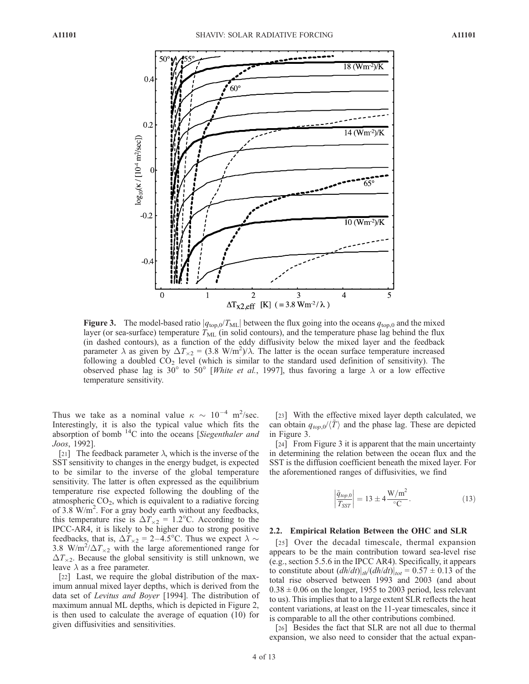

**Figure 3.** The model-based ratio  $|q_{\text{top,0}}/T_{\text{ML}}|$  between the flux going into the oceans  $q_{\text{top,0}}$  and the mixed layer (or sea-surface) temperature  $T_{ML}$  (in solid contours), and the temperature phase lag behind the flux (in dashed contours), as a function of the eddy diffusivity below the mixed layer and the feedback parameter  $\lambda$  as given by  $\Delta T_{\times 2} = (3.8 \text{ W/m}^2)/\lambda$ . The latter is the ocean surface temperature increased following a doubled  $CO<sub>2</sub>$  level (which is similar to the standard used definition of sensitivity). The observed phase lag is 30° to 50° [White et al., 1997], thus favoring a large  $\lambda$  or a low effective temperature sensitivity.

Thus we take as a nominal value  $\kappa \sim 10^{-4}$  m<sup>2</sup>/sec. Interestingly, it is also the typical value which fits the absorption of bomb  ${}^{14}C$  into the oceans [Siegenthaler and Joos, 1992].

[21] The feedback parameter  $\lambda$ , which is the inverse of the SST sensitivity to changes in the energy budget, is expected to be similar to the inverse of the global temperature sensitivity. The latter is often expressed as the equilibrium temperature rise expected following the doubling of the atmospheric  $CO<sub>2</sub>$ , which is equivalent to a radiative forcing of 3.8 W/m<sup>2</sup>. For a gray body earth without any feedbacks, this temperature rise is  $\Delta T_{\times 2} = 1.2$ °C. According to the IPCC-AR4, it is likely to be higher duo to strong positive feedbacks, that is,  $\Delta T_{\times 2} = 2 - 4.5^{\circ}\text{C}$ . Thus we expect  $\lambda \sim$ 3.8 W/m<sup>2</sup>/ $\Delta T_{\times 2}$  with the large aforementioned range for  $\Delta T_{\times 2}$ . Because the global sensitivity is still unknown, we leave  $\lambda$  as a free parameter.

[22] Last, we require the global distribution of the maximum annual mixed layer depths, which is derived from the data set of Levitus and Boyer [1994]. The distribution of maximum annual ML depths, which is depicted in Figure 2, is then used to calculate the average of equation (10) for given diffusivities and sensitivities.

[23] With the effective mixed layer depth calculated, we can obtain  $q_{top,0}/\langle T \rangle$  and the phase lag. These are depicted in Figure 3.

[24] From Figure 3 it is apparent that the main uncertainty in determining the relation between the ocean flux and the SST is the diffusion coefficient beneath the mixed layer. For the aforementioned ranges of diffusivities, we find

$$
\left|\frac{\tilde{q}_{top,0}}{T_{SST}}\right| = 13 \pm 4 \frac{\text{W/m}^2}{\text{C}}.
$$
\n(13)

#### 2.2. Empirical Relation Between the OHC and SLR

[25] Over the decadal timescale, thermal expansion appears to be the main contribution toward sea-level rise (e.g., section 5.5.6 in the IPCC AR4). Specifically, it appears to constitute about  $(dh/dt)|_{th}/(dh/dt)|_{tot} = 0.57 \pm 0.13$  of the total rise observed between 1993 and 2003 (and about  $0.38 \pm 0.06$  on the longer, 1955 to 2003 period, less relevant to us). This implies that to a large extent SLR reflects the heat content variations, at least on the 11-year timescales, since it is comparable to all the other contributions combined.

[26] Besides the fact that SLR are not all due to thermal expansion, we also need to consider that the actual expan-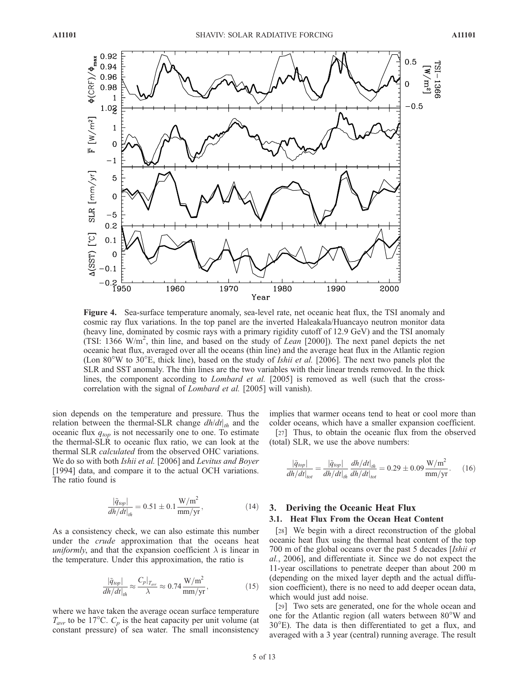

Figure 4. Sea-surface temperature anomaly, sea-level rate, net oceanic heat flux, the TSI anomaly and cosmic ray flux variations. In the top panel are the inverted Haleakala/Huancayo neutron monitor data (heavy line, dominated by cosmic rays with a primary rigidity cutoff of 12.9 GeV) and the TSI anomaly (TSI: 1366 W/m<sup>2</sup> , thin line, and based on the study of Lean [2000]). The next panel depicts the net oceanic heat flux, averaged over all the oceans (thin line) and the average heat flux in the Atlantic region (Lon 80°W to 30°E, thick line), based on the study of *Ishii et al.* [2006]. The next two panels plot the SLR and SST anomaly. The thin lines are the two variables with their linear trends removed. In the thick lines, the component according to *Lombard et al.* [2005] is removed as well (such that the crosscorrelation with the signal of *Lombard et al.* [2005] will vanish).

sion depends on the temperature and pressure. Thus the relation between the thermal-SLR change  $dh/dt|_{th}$  and the oceanic flux  $q_{top}$  is not necessarily one to one. To estimate the thermal-SLR to oceanic flux ratio, we can look at the thermal SLR calculated from the observed OHC variations. We do so with both *Ishii et al.* [2006] and *Levitus and Boyer* [1994] data, and compare it to the actual OCH variations. The ratio found is

$$
\frac{|\tilde{q}_{top}|}{dh/dt|_{th}} = 0.51 \pm 0.1 \frac{W/m^2}{mm/yr},
$$
\n(14)

As a consistency check, we can also estimate this number under the *crude* approximation that the oceans heat uniformly, and that the expansion coefficient  $\lambda$  is linear in the temperature. Under this approximation, the ratio is

$$
\frac{|\tilde{q}_{top}|}{dh/dt}|_{th} \approx \frac{C_p|_{T_{avr}}}{\lambda} \approx 0.74 \frac{\text{W/m}^2}{\text{mm/yr}},\tag{15}
$$

where we have taken the average ocean surface temperature  $T_{avr}$  to be 17°C.  $C_p$  is the heat capacity per unit volume (at constant pressure) of sea water. The small inconsistency implies that warmer oceans tend to heat or cool more than colder oceans, which have a smaller expansion coefficient.

[27] Thus, to obtain the oceanic flux from the observed (total) SLR, we use the above numbers:

$$
\frac{|\tilde{q}_{top}|}{dh/dt|_{tot}} = \frac{|\tilde{q}_{top}|}{dh/dt|_{th}} \frac{dh/dt|_{th}}{dh/dt|_{tot}} = 0.29 \pm 0.09 \frac{W/m^2}{mm/yr}.
$$
 (16)

## 3. Deriving the Oceanic Heat Flux 3.1. Heat Flux From the Ocean Heat Content

[28] We begin with a direct reconstruction of the global oceanic heat flux using the thermal heat content of the top 700 m of the global oceans over the past 5 decades [Ishii et al., 2006], and differentiate it. Since we do not expect the 11-year oscillations to penetrate deeper than about 200 m (depending on the mixed layer depth and the actual diffusion coefficient), there is no need to add deeper ocean data, which would just add noise.

[29] Two sets are generated, one for the whole ocean and one for the Atlantic region (all waters between  $80^{\circ}$ W and  $30^{\circ}$ E). The data is then differentiated to get a flux, and averaged with a 3 year (central) running average. The result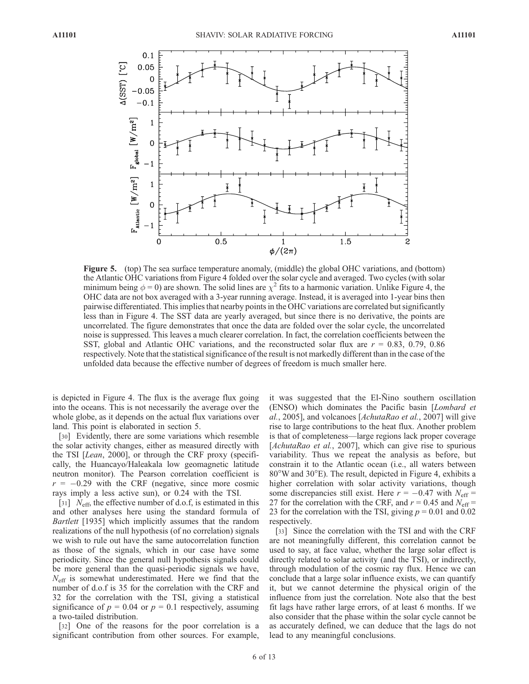

Figure 5. (top) The sea surface temperature anomaly, (middle) the global OHC variations, and (bottom) the Atlantic OHC variations from Figure 4 folded over the solar cycle and averaged. Two cycles (with solar minimum being  $\phi = 0$ ) are shown. The solid lines are  $\chi^2$  fits to a harmonic variation. Unlike Figure 4, the OHC data are not box averaged with a 3-year running average. Instead, it is averaged into 1-year bins then pairwise differentiated. This implies that nearby points in the OHC variations are correlated but significantly less than in Figure 4. The SST data are yearly averaged, but since there is no derivative, the points are uncorrelated. The figure demonstrates that once the data are folded over the solar cycle, the uncorrelated noise is suppressed. This leaves a much clearer correlation. In fact, the correlation coefficients between the SST, global and Atlantic OHC variations, and the reconstructed solar flux are  $r = 0.83, 0.79, 0.86$ respectively. Note that the statistical significance of the result is not markedly different than in the case of the unfolded data because the effective number of degrees of freedom is much smaller here.

is depicted in Figure 4. The flux is the average flux going into the oceans. This is not necessarily the average over the whole globe, as it depends on the actual flux variations over land. This point is elaborated in section 5.

[30] Evidently, there are some variations which resemble the solar activity changes, either as measured directly with the TSI [Lean, 2000], or through the CRF proxy (specifically, the Huancayo/Haleakala low geomagnetic latitude neutron monitor). The Pearson correlation coefficient is  $r = -0.29$  with the CRF (negative, since more cosmic rays imply a less active sun), or 0.24 with the TSI.

[31]  $N_{\text{eff}}$ , the effective number of d.o.f, is estimated in this and other analyses here using the standard formula of Bartlett [1935] which implicitly assumes that the random realizations of the null hypothesis (of no correlation) signals we wish to rule out have the same autocorrelation function as those of the signals, which in our case have some periodicity. Since the general null hypothesis signals could be more general than the quasi-periodic signals we have,  $N<sub>eff</sub>$  is somewhat underestimated. Here we find that the number of d.o.f is 35 for the correlation with the CRF and 32 for the correlation with the TSI, giving a statistical significance of  $p = 0.04$  or  $p = 0.1$  respectively, assuming a two-tailed distribution.

[32] One of the reasons for the poor correlation is a significant contribution from other sources. For example, it was suggested that the El-Ñino southern oscillation (ENSO) which dominates the Pacific basin [Lombard et al., 2005], and volcanoes [AchutaRao et al., 2007] will give rise to large contributions to the heat flux. Another problem is that of completeness—large regions lack proper coverage [AchutaRao et al., 2007], which can give rise to spurious variability. Thus we repeat the analysis as before, but constrain it to the Atlantic ocean (i.e., all waters between  $80^{\circ}$ W and  $30^{\circ}$ E). The result, depicted in Figure 4, exhibits a higher correlation with solar activity variations, though some discrepancies still exist. Here  $r = -0.47$  with  $N_{\text{eff}} =$ 27 for the correlation with the CRF, and  $r = 0.45$  and  $N_{\text{eff}} =$ 23 for the correlation with the TSI, giving  $p = 0.01$  and 0.02 respectively.

[33] Since the correlation with the TSI and with the CRF are not meaningfully different, this correlation cannot be used to say, at face value, whether the large solar effect is directly related to solar activity (and the TSI), or indirectly, through modulation of the cosmic ray flux. Hence we can conclude that a large solar influence exists, we can quantify it, but we cannot determine the physical origin of the influence from just the correlation. Note also that the best fit lags have rather large errors, of at least 6 months. If we also consider that the phase within the solar cycle cannot be as accurately defined, we can deduce that the lags do not lead to any meaningful conclusions.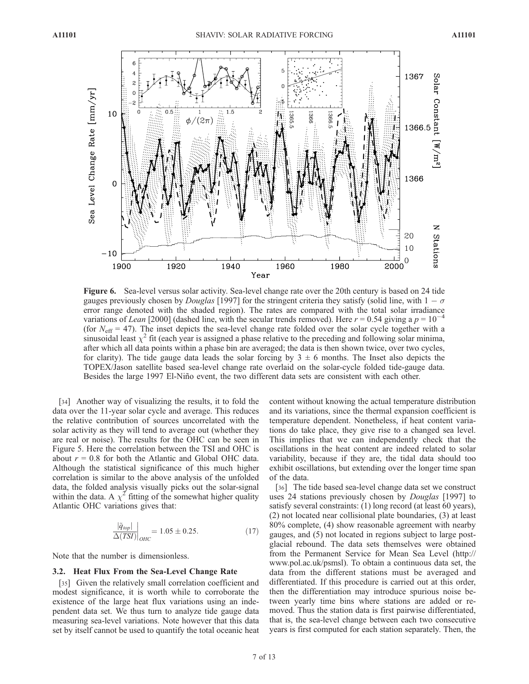

Figure 6. Sea-level versus solar activity. Sea-level change rate over the 20th century is based on 24 tide gauges previously chosen by *Douglas* [1997] for the stringent criteria they satisfy (solid line, with  $1 - \sigma$ error range denoted with the shaded region). The rates are compared with the total solar irradiance variations of Lean [2000] (dashed line, with the secular trends removed). Here  $r = 0.54$  giving a  $p = 10^{-4}$ (for  $N_{\text{eff}}$  = 47). The inset depicts the sea-level change rate folded over the solar cycle together with a sinusoidal least  $\chi^2$  fit (each year is assigned a phase relative to the preceding and following solar minima, after which all data points within a phase bin are averaged; the data is then shown twice, over two cycles, for clarity). The tide gauge data leads the solar forcing by  $3 \pm 6$  months. The Inset also depicts the TOPEX/Jason satellite based sea-level change rate overlaid on the solar-cycle folded tide-gauge data. Besides the large 1997 El-Niño event, the two different data sets are consistent with each other.

[34] Another way of visualizing the results, it to fold the data over the 11-year solar cycle and average. This reduces the relative contribution of sources uncorrelated with the solar activity as they will tend to average out (whether they are real or noise). The results for the OHC can be seen in Figure 5. Here the correlation between the TSI and OHC is about  $r = 0.8$  for both the Atlantic and Global OHC data. Although the statistical significance of this much higher correlation is similar to the above analysis of the unfolded data, the folded analysis visually picks out the solar-signal within the data. A  $\chi^2$  fitting of the somewhat higher quality Atlantic OHC variations gives that:

$$
\left. \frac{\left| \tilde{q}_{top} \right|}{\Delta (TSI)} \right|_{OHC} = 1.05 \pm 0.25. \tag{17}
$$

Note that the number is dimensionless.

#### 3.2. Heat Flux From the Sea-Level Change Rate

[35] Given the relatively small correlation coefficient and modest significance, it is worth while to corroborate the existence of the large heat flux variations using an independent data set. We thus turn to analyze tide gauge data measuring sea-level variations. Note however that this data set by itself cannot be used to quantify the total oceanic heat content without knowing the actual temperature distribution and its variations, since the thermal expansion coefficient is temperature dependent. Nonetheless, if heat content variations do take place, they give rise to a changed sea level. This implies that we can independently check that the oscillations in the heat content are indeed related to solar variability, because if they are, the tidal data should too exhibit oscillations, but extending over the longer time span of the data.

[36] The tide based sea-level change data set we construct uses 24 stations previously chosen by Douglas [1997] to satisfy several constraints: (1) long record (at least 60 years), (2) not located near collisional plate boundaries, (3) at least 80% complete, (4) show reasonable agreement with nearby gauges, and (5) not located in regions subject to large postglacial rebound. The data sets themselves were obtained from the Permanent Service for Mean Sea Level (http:// www.pol.ac.uk/psmsl). To obtain a continuous data set, the data from the different stations must be averaged and differentiated. If this procedure is carried out at this order, then the differentiation may introduce spurious noise between yearly time bins where stations are added or removed. Thus the station data is first pairwise differentiated, that is, the sea-level change between each two consecutive years is first computed for each station separately. Then, the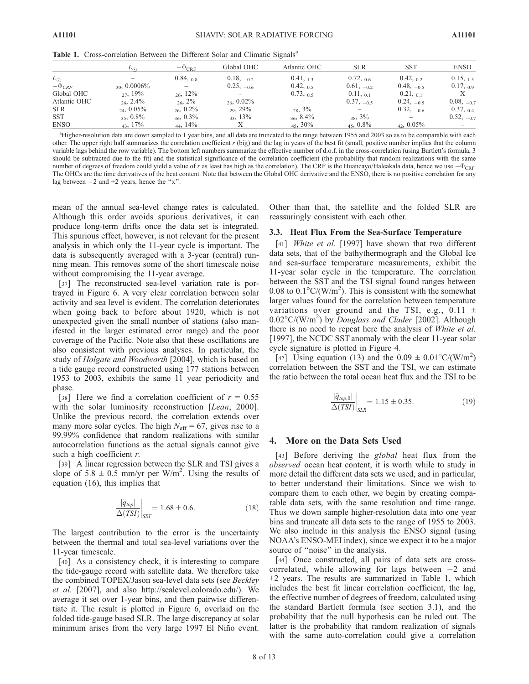Table 1. Cross-correlation Between the Different Solar and Climatic Signals<sup>a</sup>

|               | $L_{\odot}$     | $-\Phi_{\rm CRF}$        | Global OHC               | Atlantic OHC      | <b>SLR</b>        | <b>SST</b>        | <b>ENSO</b>     |
|---------------|-----------------|--------------------------|--------------------------|-------------------|-------------------|-------------------|-----------------|
| $L_{\odot}$   |                 | $0.84$ , $_{0.8}$        | $0.18, -0.2$             | $0.41$ , $13$     | $0.72$ , 0.6      | $0.42$ , 0.2      | 0.15, 1.5       |
| $-\Phi_{CRF}$ | $30, 0.0006\%$  | $\overline{\phantom{0}}$ | $0.25, -0.6$             | $0.42$ , $0.5$    | $0.61, -0.2$      | $0.48, -0.5$      | 0.17, 0.9       |
| Global OHC    | $27, 19\%$      | $26, 12\%$               | $\overline{\phantom{0}}$ | 0.73, 0.5         | 0.11, 0.1         | 0.21, 0.1         | X               |
| Atlantic OHC  | $2.4\%$         | $26, 2\%$                | $26, 0.02\%$             | $\qquad \qquad -$ | $0.37, -0.5$      | $0.24, -0.5$      | $0.08, -0.7$    |
| <b>SLR</b>    | $_{24}$ , 0.05% | $26, 0.2\%$              | $29\%$                   | $28, 3\%$         | $\qquad \qquad -$ | $0.32, -0.6$      | 0.37, 0.4       |
| SST           | $35, 0.8\%$     | $36, 0.3\%$              | $33, 13\%$               | $36, 8.4\%$       | $38, 3\%$         | $\qquad \qquad -$ | $0.52, -0.7$    |
| <b>ENSO</b>   | $43, 17\%$      | $44, 14\%$               |                          | $45, 30\%$        | $45, 0.8\%$       | $42, 0.05\%$      | $\qquad \qquad$ |
|               |                 |                          |                          |                   |                   |                   |                 |

<sup>a</sup>Higher-resolution data are down sampled to 1 year bins, and all data are truncated to the range between 1955 and 2003 so as to be comparable with each other. The upper right half summarizes the correlation coefficient r (big) and the lag in years of the best fit (small, positive number implies that the column variable lags behind the row variable). The bottom left numbers summarize the effective number of d.o.f. in the cross-correlation (using Bartlett's formula, 3 should be subtracted due to the fit) and the statistical significance of the correlation coefficient (the probability that random realizations with the same number of degrees of freedom could yield a value of r as least has high as the correlation). The CRF is the Huancayo/Haleakala data, hence we use  $-\Phi_{\text{CRF}}$ . The OHCs are the time derivatives of the heat content. Note that between the Global OHC derivative and the ENSO, there is no positive correlation for any lag between  $-2$  and  $+2$  years, hence the "x".

mean of the annual sea-level change rates is calculated. Although this order avoids spurious derivatives, it can produce long-term drifts once the data set is integrated. This spurious effect, however, is not relevant for the present analysis in which only the 11-year cycle is important. The data is subsequently averaged with a 3-year (central) running mean. This removes some of the short timescale noise without compromising the 11-year average.

[37] The reconstructed sea-level variation rate is portrayed in Figure 6. A very clear correlation between solar activity and sea level is evident. The correlation deteriorates when going back to before about 1920, which is not unexpected given the small number of stations (also manifested in the larger estimated error range) and the poor coverage of the Pacific. Note also that these oscillations are also consistent with previous analyses. In particular, the study of Holgate and Woodworth [2004], which is based on a tide gauge record constructed using 177 stations between 1953 to 2003, exhibits the same 11 year periodicity and phase.

[38] Here we find a correlation coefficient of  $r = 0.55$ with the solar luminosity reconstruction [Lean, 2000]. Unlike the previous record, the correlation extends over many more solar cycles. The high  $N_{\text{eff}} = 67$ , gives rise to a 99.99% confidence that random realizations with similar autocorrelation functions as the actual signals cannot give such a high coefficient  $r$ .

[39] A linear regression between the SLR and TSI gives a slope of  $5.8 \pm 0.5$  mm/yr per W/m<sup>2</sup>. Using the results of equation (16), this implies that

$$
\left. \frac{|\tilde{q}_{top}|}{\Delta(TST)} \right|_{SST} = 1.68 \pm 0.6. \tag{18}
$$

The largest contribution to the error is the uncertainty between the thermal and total sea-level variations over the 11-year timescale.

[40] As a consistency check, it is interesting to compare the tide-gauge record with satellite data. We therefore take the combined TOPEX/Jason sea-level data sets (see Beckley et al. [2007], and also http://sealevel.colorado.edu/). We average it set over 1-year bins, and then pairwise differentiate it. The result is plotted in Figure 6, overlaid on the folded tide-gauge based SLR. The large discrepancy at solar minimum arises from the very large 1997 El Niño event.

Other than that, the satellite and the folded SLR are reassuringly consistent with each other.

## 3.3. Heat Flux From the Sea-Surface Temperature

[41] *White et al.* [1997] have shown that two different data sets, that of the bathythermograph and the Global Ice and sea-surface temperature measurements, exhibit the 11-year solar cycle in the temperature. The correlation between the SST and the TSI signal found ranges between 0.08 to  $0.1^{\circ}$ C/(W/m<sup>2</sup>). This is consistent with the somewhat larger values found for the correlation between temperature variations over ground and the TSI, e.g.,  $0.11 \pm$  $0.02^{\circ}$ C/(W/m<sup>2</sup>) by *Douglass and Clader* [2002]. Although there is no need to repeat here the analysis of White et al. [1997], the NCDC SST anomaly with the clear 11-year solar cycle signature is plotted in Figure 4.

[42] Using equation (13) and the  $0.09 \pm 0.01$ °C/(W/m<sup>2</sup>) correlation between the SST and the TSI, we can estimate the ratio between the total ocean heat flux and the TSI to be

$$
\left. \frac{\left| \tilde{q}_{top,0} \right|}{\Delta(TSI)} \right|_{SLR} = 1.15 \pm 0.35. \tag{19}
$$

#### 4. More on the Data Sets Used

[43] Before deriving the *global* heat flux from the observed ocean heat content, it is worth while to study in more detail the different data sets we used, and in particular, to better understand their limitations. Since we wish to compare them to each other, we begin by creating comparable data sets, with the same resolution and time range. Thus we down sample higher-resolution data into one year bins and truncate all data sets to the range of 1955 to 2003. We also include in this analysis the ENSO signal (using NOAA's ENSO-MEI index), since we expect it to be a major source of "noise" in the analysis.

[44] Once constructed, all pairs of data sets are crosscorrelated, while allowing for lags between  $-2$  and +2 years. The results are summarized in Table 1, which includes the best fit linear correlation coefficient, the lag, the effective number of degrees of freedom, calculated using the standard Bartlett formula (see section 3.1), and the probability that the null hypothesis can be ruled out. The latter is the probability that random realization of signals with the same auto-correlation could give a correlation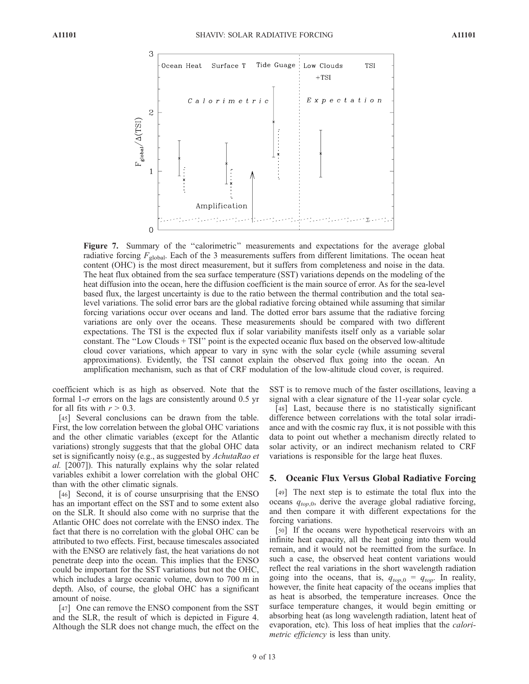

Figure 7. Summary of the "calorimetric" measurements and expectations for the average global radiative forcing  $F_{\text{global}}$ . Each of the 3 measurements suffers from different limitations. The ocean heat content (OHC) is the most direct measurement, but it suffers from completeness and noise in the data. The heat flux obtained from the sea surface temperature (SST) variations depends on the modeling of the heat diffusion into the ocean, here the diffusion coefficient is the main source of error. As for the sea-level based flux, the largest uncertainty is due to the ratio between the thermal contribution and the total sealevel variations. The solid error bars are the global radiative forcing obtained while assuming that similar forcing variations occur over oceans and land. The dotted error bars assume that the radiative forcing variations are only over the oceans. These measurements should be compared with two different expectations. The TSI is the expected flux if solar variability manifests itself only as a variable solar constant. The ''Low Clouds + TSI'' point is the expected oceanic flux based on the observed low-altitude cloud cover variations, which appear to vary in sync with the solar cycle (while assuming several approximations). Evidently, the TSI cannot explain the observed flux going into the ocean. An amplification mechanism, such as that of CRF modulation of the low-altitude cloud cover, is required.

coefficient which is as high as observed. Note that the formal 1- $\sigma$  errors on the lags are consistently around 0.5 yr for all fits with  $r > 0.3$ .

[45] Several conclusions can be drawn from the table. First, the low correlation between the global OHC variations and the other climatic variables (except for the Atlantic variations) strongly suggests that that the global OHC data set is significantly noisy (e.g., as suggested by AchutaRao et al. [2007]). This naturally explains why the solar related variables exhibit a lower correlation with the global OHC than with the other climatic signals.

[46] Second, it is of course unsurprising that the ENSO has an important effect on the SST and to some extent also on the SLR. It should also come with no surprise that the Atlantic OHC does not correlate with the ENSO index. The fact that there is no correlation with the global OHC can be attributed to two effects. First, because timescales associated with the ENSO are relatively fast, the heat variations do not penetrate deep into the ocean. This implies that the ENSO could be important for the SST variations but not the OHC, which includes a large oceanic volume, down to 700 m in depth. Also, of course, the global OHC has a significant amount of noise.

[47] One can remove the ENSO component from the SST and the SLR, the result of which is depicted in Figure 4. Although the SLR does not change much, the effect on the SST is to remove much of the faster oscillations, leaving a signal with a clear signature of the 11-year solar cycle.

[48] Last, because there is no statistically significant difference between correlations with the total solar irradiance and with the cosmic ray flux, it is not possible with this data to point out whether a mechanism directly related to solar activity, or an indirect mechanism related to CRF variations is responsible for the large heat fluxes.

#### 5. Oceanic Flux Versus Global Radiative Forcing

[49] The next step is to estimate the total flux into the oceans  $q_{top,0}$ , derive the average global radiative forcing, and then compare it with different expectations for the forcing variations.

[50] If the oceans were hypothetical reservoirs with an infinite heat capacity, all the heat going into them would remain, and it would not be reemitted from the surface. In such a case, the observed heat content variations would reflect the real variations in the short wavelength radiation going into the oceans, that is,  $q_{top,0} = q_{top}$ . In reality, however, the finite heat capacity of the oceans implies that as heat is absorbed, the temperature increases. Once the surface temperature changes, it would begin emitting or absorbing heat (as long wavelength radiation, latent heat of evaporation, etc). This loss of heat implies that the *calori*metric efficiency is less than unity.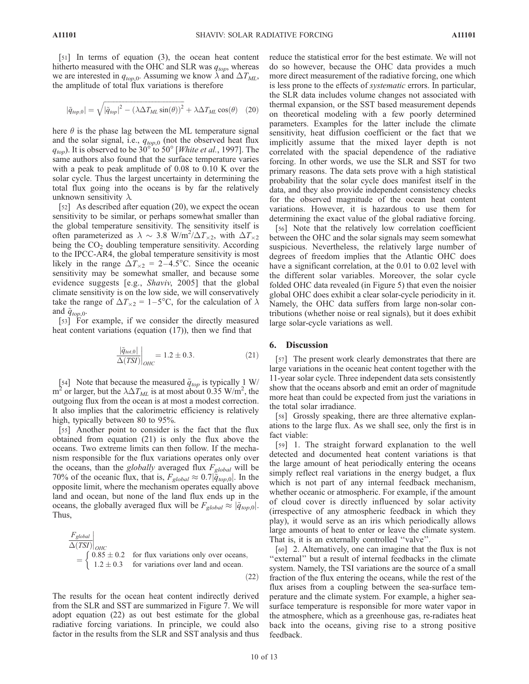[51] In terms of equation (3), the ocean heat content hitherto measured with the OHC and SLR was  $q_{top}$ , whereas we are interested in  $q_{top,0}$ . Assuming we know  $\lambda$  and  $\Delta T_{ML}$ , the amplitude of total flux variations is therefore

$$
|\tilde{q}_{top,0}| = \sqrt{|\tilde{q}_{top}|^2 - (\lambda \Delta T_{ML} \sin(\theta))^2} + \lambda \Delta T_{ML} \cos(\theta)
$$
 (20)

here  $\theta$  is the phase lag between the ML temperature signal and the solar signal, i.e.,  $q_{top,0}$  (not the observed heat flux  $q_{top}$ ). It is observed to be 30° to 50° [*White et al.*, 1997]. The same authors also found that the surface temperature varies with a peak to peak amplitude of 0.08 to 0.10 K over the solar cycle. Thus the largest uncertainty in determining the total flux going into the oceans is by far the relatively unknown sensitivity  $\lambda$ .

[52] As described after equation (20), we expect the ocean sensitivity to be similar, or perhaps somewhat smaller than the global temperature sensitivity. The sensitivity itself is often parameterized as  $\lambda \sim 3.8 \text{ W/m}^2/\Delta T_{\times 2}$ , with  $\Delta T_{\times 2}$ being the  $CO<sub>2</sub>$  doubling temperature sensitivity. According to the IPCC-AR4, the global temperature sensitivity is most likely in the range  $\Delta T_{\times 2} = 2 - 4.5^{\circ}\text{C}$ . Since the oceanic sensitivity may be somewhat smaller, and because some evidence suggests [e.g., Shaviv, 2005] that the global climate sensitivity is on the low side, we will conservatively take the range of  $\Delta T_{\times 2} = 1-5$ °C, for the calculation of  $\lambda$ and  $\tilde{q}_{top,0}$ .

[53] For example, if we consider the directly measured heat content variations (equation (17)), then we find that

$$
\left. \frac{|\tilde{q}_{tot,0}|}{\Delta(TSI)} \right|_{OHC} = 1.2 \pm 0.3. \tag{21}
$$

[54] Note that because the measured  $\tilde{q}_{top}$  is typically 1 W/  $m^2$  or larger, but the  $\lambda \Delta T_{ML}$  is at most about 0.35 W/m<sup>2</sup>, the outgoing flux from the ocean is at most a modest correction. It also implies that the calorimetric efficiency is relatively high, typically between 80 to 95%.

[55] Another point to consider is the fact that the flux obtained from equation (21) is only the flux above the oceans. Two extreme limits can then follow. If the mechanism responsible for the flux variations operates only over the oceans, than the *globally* averaged flux  $F_{global}$  will be 70% of the oceanic flux, that is,  $F_{global} \approx 0.7|\tilde{\dot{q}}_{top,0}|$ . In the opposite limit, where the mechanism operates equally above land and ocean, but none of the land flux ends up in the oceans, the globally averaged flux will be  $F_{global} \approx |\tilde{q}_{top,0}|$ . Thus,

$$
\frac{F_{global}}{\Delta(TSI)}\Big|_{OHC}
$$
\n
$$
= \begin{cases}\n0.85 \pm 0.2 & \text{for flux variations only over oceans,} \\
1.2 \pm 0.3 & \text{for variations over land and ocean.} \\
\end{cases}
$$
\n(22)

The results for the ocean heat content indirectly derived from the SLR and SST are summarized in Figure 7. We will adopt equation (22) as out best estimate for the global radiative forcing variations. In principle, we could also factor in the results from the SLR and SST analysis and thus reduce the statistical error for the best estimate. We will not do so however, because the OHC data provides a much more direct measurement of the radiative forcing, one which is less prone to the effects of systematic errors. In particular, the SLR data includes volume changes not associated with thermal expansion, or the SST based measurement depends on theoretical modeling with a few poorly determined parameters. Examples for the latter include the climate sensitivity, heat diffusion coefficient or the fact that we implicitly assume that the mixed layer depth is not correlated with the spacial dependence of the radiative forcing. In other words, we use the SLR and SST for two primary reasons. The data sets prove with a high statistical probability that the solar cycle does manifest itself in the data, and they also provide independent consistency checks for the observed magnitude of the ocean heat content variations. However, it is hazardous to use them for determining the exact value of the global radiative forcing.

[56] Note that the relatively low correlation coefficient between the OHC and the solar signals may seem somewhat suspicious. Nevertheless, the relatively large number of degrees of freedom implies that the Atlantic OHC does have a significant correlation, at the 0.01 to 0.02 level with the different solar variables. Moreover, the solar cycle folded OHC data revealed (in Figure 5) that even the noisier global OHC does exhibit a clear solar-cycle periodicity in it. Namely, the OHC data suffers from large non-solar contributions (whether noise or real signals), but it does exhibit large solar-cycle variations as well.

#### 6. Discussion

[57] The present work clearly demonstrates that there are large variations in the oceanic heat content together with the 11-year solar cycle. Three independent data sets consistently show that the oceans absorb and emit an order of magnitude more heat than could be expected from just the variations in the total solar irradiance.

[58] Grossly speaking, there are three alternative explanations to the large flux. As we shall see, only the first is in fact viable:

[59] 1. The straight forward explanation to the well detected and documented heat content variations is that the large amount of heat periodically entering the oceans simply reflect real variations in the energy budget, a flux which is not part of any internal feedback mechanism, whether oceanic or atmospheric. For example, if the amount of cloud cover is directly influenced by solar activity (irrespective of any atmospheric feedback in which they play), it would serve as an iris which periodically allows large amounts of heat to enter or leave the climate system. That is, it is an externally controlled ''valve''.

[60] 2. Alternatively, one can imagine that the flux is not "external" but a result of internal feedbacks in the climate system. Namely, the TSI variations are the source of a small fraction of the flux entering the oceans, while the rest of the flux arises from a coupling between the sea-surface temperature and the climate system. For example, a higher seasurface temperature is responsible for more water vapor in the atmosphere, which as a greenhouse gas, re-radiates heat back into the oceans, giving rise to a strong positive feedback.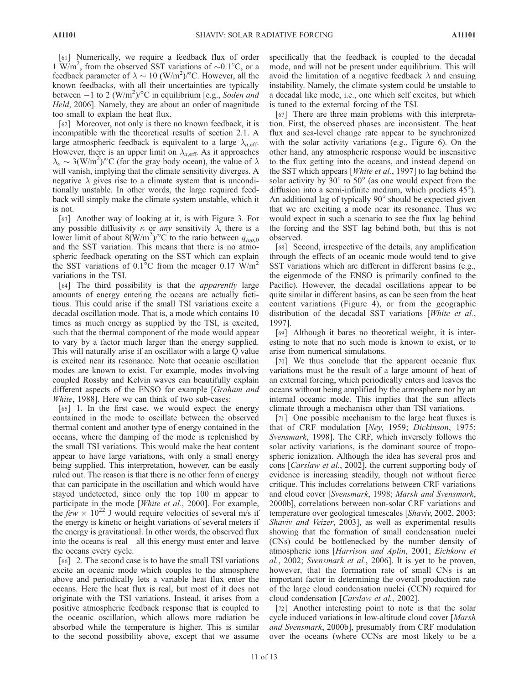[61] Numerically, we require a feedback flux of order  $1 \text{ W/m}^2$ , from the observed SST variations of  $\sim 0.1^{\circ}$ C, or a feedback parameter of  $\lambda \sim 10 \ (W/m^2)^{\circ}$ C. However, all the known feedbacks, with all their uncertainties are typically between  $-1$  to 2 (W/m<sup>2</sup>)/°C in equilibrium [e.g., Soden and Held, 2006]. Namely, they are about an order of magnitude too small to explain the heat flux.

[62] Moreover, not only is there no known feedback, it is incompatible with the theoretical results of section 2.1. A large atmospheric feedback is equivalent to a large  $\lambda_{a,\text{eff}}$ . However, there is an upper limit on  $\lambda_{a,\text{eff}}$ . As it approaches  $\lambda_o \sim 3(W/m^2)^{\circ}C$  (for the gray body ocean), the value of  $\lambda$ will vanish, implying that the climate sensitivity diverges. A negative  $\lambda$  gives rise to a climate system that is unconditionally unstable. In other words, the large required feedback will simply make the climate system unstable, which it is not.

[63] Another way of looking at it, is with Figure 3. For any possible diffusivity  $\kappa$  or *any* sensitivity  $\lambda$ , there is a lower limit of about  $8(W/m^2)$ <sup>o</sup>C to the ratio between  $q_{top,0}$ and the SST variation. This means that there is no atmospheric feedback operating on the SST which can explain the SST variations of  $0.1^{\circ}$ C from the meager  $0.17$  W/m<sup>2</sup> variations in the TSI.

[64] The third possibility is that the *apparently* large amounts of energy entering the oceans are actually fictitious. This could arise if the small TSI variations excite a decadal oscillation mode. That is, a mode which contains 10 times as much energy as supplied by the TSI, is excited, such that the thermal component of the mode would appear to vary by a factor much larger than the energy supplied. This will naturally arise if an oscillator with a large Q value is excited near its resonance. Note that oceanic oscillation modes are known to exist. For example, modes involving coupled Rossby and Kelvin waves can beautifully explain different aspects of the ENSO for example [Graham and White, 1988]. Here we can think of two sub-cases:

[65] 1. In the first case, we would expect the energy contained in the mode to oscillate between the observed thermal content and another type of energy contained in the oceans, where the damping of the mode is replenished by the small TSI variations. This would make the heat content appear to have large variations, with only a small energy being supplied. This interpretation, however, can be easily ruled out. The reason is that there is no other form of energy that can participate in the oscillation and which would have stayed undetected, since only the top 100 m appear to participate in the mode [*White et al.*, 2000]. For example, the few  $\times$  10<sup>22</sup> J would require velocities of several m/s if the energy is kinetic or height variations of several meters if the energy is gravitational. In other words, the observed flux into the oceans is real—all this energy must enter and leave the oceans every cycle.

[66] 2. The second case is to have the small TSI variations excite an oceanic mode which couples to the atmosphere above and periodically lets a variable heat flux enter the oceans. Here the heat flux is real, but most of it does not originate with the TSI variations. Instead, it arises from a positive atmospheric feedback response that is coupled to the oceanic oscillation, which allows more radiation be absorbed while the temperature is higher. This is similar to the second possibility above, except that we assume specifically that the feedback is coupled to the decadal mode, and will not be present under equilibrium. This will avoid the limitation of a negative feedback  $\lambda$  and ensuing instability. Namely, the climate system could be unstable to a decadal like mode, i.e., one which self excites, but which is tuned to the external forcing of the TSI.

[67] There are three main problems with this interpretation. First, the observed phases are inconsistent. The heat flux and sea-level change rate appear to be synchronized with the solar activity variations (e.g., Figure 6). On the other hand, any atmospheric response would be insensitive to the flux getting into the oceans, and instead depend on the SST which appears [*White et al.*, 1997] to lag behind the solar activity by  $30^{\circ}$  to  $50^{\circ}$  (as one would expect from the diffusion into a semi-infinite medium, which predicts 45°). An additional lag of typically 90° should be expected given that we are exciting a mode near its resonance. Thus we would expect in such a scenario to see the flux lag behind the forcing and the SST lag behind both, but this is not observed.

[68] Second, irrespective of the details, any amplification through the effects of an oceanic mode would tend to give SST variations which are different in different basins (e.g., the eigenmode of the ENSO is primarily confined to the Pacific). However, the decadal oscillations appear to be quite similar in different basins, as can be seen from the heat content variations (Figure 4), or from the geographic distribution of the decadal SST variations [White et al., 1997].

[69] Although it bares no theoretical weight, it is interesting to note that no such mode is known to exist, or to arise from numerical simulations.

[70] We thus conclude that the apparent oceanic flux variations must be the result of a large amount of heat of an external forcing, which periodically enters and leaves the oceans without being amplified by the atmosphere nor by an internal oceanic mode. This implies that the sun affects climate through a mechanism other than TSI variations.

[71] One possible mechanism to the large heat fluxes is that of CRF modulation [Ney, 1959; Dickinson, 1975; Svensmark, 1998]. The CRF, which inversely follows the solar activity variations, is the dominant source of tropospheric ionization. Although the idea has several pros and cons [Carslaw et al., 2002], the current supporting body of evidence is increasing steadily, though not without fierce critique. This includes correlations between CRF variations and cloud cover [Svensmark, 1998; Marsh and Svensmark, 2000b], correlations between non-solar CRF variations and temperature over geological timescales [Shaviv, 2002, 2003; Shaviv and Veizer, 2003], as well as experimental results showing that the formation of small condensation nuclei (CNs) could be bottlenecked by the number density of atmospheric ions [Harrison and Aplin, 2001; Eichkorn et al., 2002; Svensmark et al., 2006]. It is yet to be proven, however, that the formation rate of small CNs is an important factor in determining the overall production rate of the large cloud condensation nuclei (CCN) required for cloud condensation [Carslaw et al., 2002].

[72] Another interesting point to note is that the solar cycle induced variations in low-altitude cloud cover [Marsh and Svensmark, 2000b], presumably from CRF modulation over the oceans (where CCNs are most likely to be a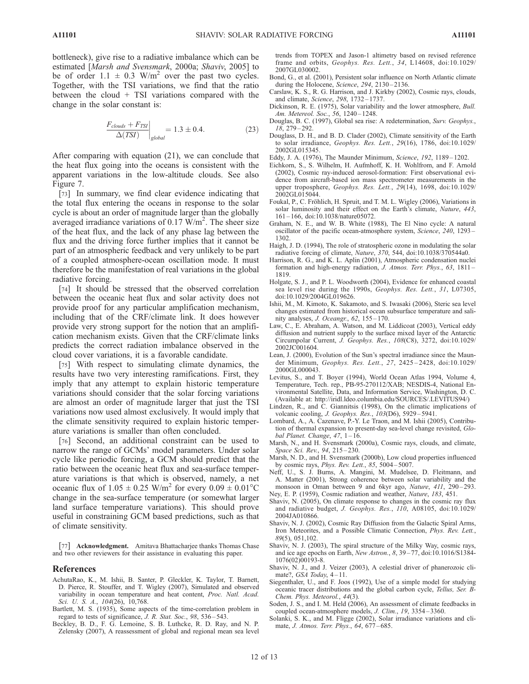bottleneck), give rise to a radiative imbalance which can be estimated [Marsh and Svensmark, 2000a; Shaviv, 2005] to be of order  $1.1 \pm 0.3$  W/m<sup>2</sup> over the past two cycles. Together, with the TSI variations, we find that the ratio between the cloud + TSI variations compared with the change in the solar constant is:

$$
\left. \frac{F_{clouds} + F_{TSI}}{\Delta (TSI)} \right|_{global} = 1.3 \pm 0.4. \tag{23}
$$

After comparing with equation (21), we can conclude that the heat flux going into the oceans is consistent with the apparent variations in the low-altitude clouds. See also Figure 7.

[73] In summary, we find clear evidence indicating that the total flux entering the oceans in response to the solar cycle is about an order of magnitude larger than the globally averaged irradiance variations of 0.17  $\rm W/m^2$ . The sheer size of the heat flux, and the lack of any phase lag between the flux and the driving force further implies that it cannot be part of an atmospheric feedback and very unlikely to be part of a coupled atmosphere-ocean oscillation mode. It must therefore be the manifestation of real variations in the global radiative forcing.

[74] It should be stressed that the observed correlation between the oceanic heat flux and solar activity does not provide proof for any particular amplification mechanism, including that of the CRF/climate link. It does however provide very strong support for the notion that an amplification mechanism exists. Given that the CRF/climate links predicts the correct radiation imbalance observed in the cloud cover variations, it is a favorable candidate.

[75] With respect to simulating climate dynamics, the results have two very interesting ramifications. First, they imply that any attempt to explain historic temperature variations should consider that the solar forcing variations are almost an order of magnitude larger that just the TSI variations now used almost exclusively. It would imply that the climate sensitivity required to explain historic temperature variations is smaller than often concluded.

[76] Second, an additional constraint can be used to narrow the range of GCMs' model parameters. Under solar cycle like periodic forcing, a GCM should predict that the ratio between the oceanic heat flux and sea-surface temperature variations is that which is observed, namely, a net oceanic flux of  $1.05 \pm 0.25$  W/m<sup>2</sup> for every  $0.09 \pm 0.01$ <sup>o</sup>C change in the sea-surface temperature (or somewhat larger land surface temperature variations). This should prove useful in constraining GCM based predictions, such as that of climate sensitivity.

[77] Acknowledgment. Amitava Bhattacharjee thanks Thomas Chase and two other reviewers for their assistance in evaluating this paper.

#### References

- AchutaRao, K., M. Ishii, B. Santer, P. Gleckler, K. Taylor, T. Barnett, D. Pierce, R. Stouffer, and T. Wigley (2007), Simulated and observed variability in ocean temperature and heat content, Proc. Natl. Acad. Sci. U. S. A., 104(26), 10,768.
- Bartlett, M. S. (1935), Some aspects of the time-correlation problem in regard to tests of significance, J. R. Stat. Soc., 98, 536-543.
- Beckley, B. D., F. G. Lemoine, S. B. Luthcke, R. D. Ray, and N. P. Zelensky (2007), A reassessment of global and regional mean sea level

trends from TOPEX and Jason-1 altimetry based on revised reference frame and orbits, Geophys. Res. Lett., 34, L14608, doi:10.1029/ 2007GL030002.

- Bond, G., et al. (2001), Persistent solar influence on North Atlantic climate during the Holocene, Science, 294, 2130-2136.
- Carslaw, K. S., R. G. Harrison, and J. Kirkby (2002), Cosmic rays, clouds, and climate, Science, 298, 1732 – 1737.
- Dickinson, R. E. (1975), Solar variability and the lower atmosphere, Bull. Am. Metereol. Soc., 56, 1240-1248.
- Douglas, B. C. (1997), Global sea rise: A redetermination, Surv. Geophys., 18, 279 – 292.
- Douglass, D. H., and B. D. Clader (2002), Climate sensitivity of the Earth to solar irradiance, Geophys. Res. Lett., 29(16), 1786, doi:10.1029/ 2002GL015345.
- Eddy, J. A. (1976), The Maunder Minimum, Science, 192, 1189 1202.
- Eichkorn, S., S. Wilhelm, H. Aufmhoff, K. H. Wohlfrom, and F. Arnold (2002), Cosmic ray-induced aerosol-formation: First observational evidence from aircraft-based ion mass spectrometer measurements in the upper troposphere, Geophys. Res. Lett., 29(14), 1698, doi:10.1029/ 2002GL015044.
- Foukal, P., C. Fröhlich, H. Spruit, and T. M. L. Wigley (2006), Variations in solar luminosity and their effect on the Earth's climate, Nature, 443, 161 – 166, doi:10.1038/nature05072.
- Graham, N. E., and W. B. White (1988), The El Nino cycle: A natural oscillator of the pacific ocean-atmosphere system, Science, 240, 1293 – 1302.
- Haigh, J. D. (1994), The role of stratospheric ozone in modulating the solar radiative forcing of climate, Nature, 370, 544, doi:10.1038/370544a0.
- Harrison, R. G., and K. L. Aplin (2001), Atmospheric condensation nuclei formation and high-energy radiation, J. Atmos. Terr. Phys., 63, 1811 – 1819.
- Holgate, S. J., and P. L. Woodworth (2004), Evidence for enhanced coastal sea level rise during the 1990s, Geophys. Res. Lett., 31, L07305, doi:10.1029/2004GL019626.
- Ishii, M., M. Kimoto, K. Sakamoto, and S. Iwasaki (2006), Steric sea level changes estimated from historical ocean subsurface temperature and salinity analyses, *J. Oceangr.*, 62, 155-170.
- Law, C., E. Abraham, A. Watson, and M. Liddicoat (2003), Vertical eddy diffusion and nutrient supply to the surface mixed layer of the Antarctic Circumpolar Current, J. Geophys. Res., 108(C8), 3272, doi:10.1029/ 2002JC001604.
- Lean, J. (2000), Evolution of the Sun's spectral irradiance since the Maunder Minimum, Geophys. Res. Lett., 27, 2425 – 2428, doi:10.1029/ 2000GL000043.
- Levitus, S., and T. Boyer (1994), World Ocean Atlas 1994, Volume 4, Temperature, Tech. rep., PB-95-270112/XAB; NESDIS-4, National Environmental Satellite, Data, and Information Service, Washington, D. C. (Available at: http://iridl.ldeo.columbia.edu/SOURCES/.LEVITUS94/)
- Lindzen, R., and C. Giannitsis (1998), On the climatic implications of volcanic cooling, J. Geophys. Res., 103(D6), 5929 – 5941.
- Lombard, A., A. Cazenave, P.-Y. Le Traon, and M. Ishii (2005), Contribution of thermal expansion to present-day sea-level change revisited, Global Planet. Change,  $47, 1-\overline{16}$ .
- Marsh, N., and H. Svensmark (2000a), Cosmic rays, clouds, and climate, Space Sci. Rev., 94, 215-230.
- Marsh, N. D., and H. Svensmark (2000b), Low cloud properties influenced by cosmic rays, *Phys. Rev. Lett.*, 85, 5004-5007.
- Neff, U., S. J. Burns, A. Mangini, M. Mudelsee, D. Fleitmann, and A. Matter (2001), Strong coherence between solar variability and the monsoon in Oman between 9 and 6kyr ago, Nature, 411, 290–293. Ney, E. P. (1959), Cosmic radiation and weather, Nature, 183, 451.
- Shaviv, N. (2005), On climate response to changes in the cosmic ray flux
- and radiative budget, J. Geophys. Res., 110, A08105, doi:10.1029/ 2004JA010866.
- Shaviv, N. J. (2002), Cosmic Ray Diffusion from the Galactic Spiral Arms, Iron Meteorites, and a Possible Climatic Connection, Phys. Rev. Lett., 89(5), 051,102.
- Shaviv, N. J. (2003), The spiral structure of the Milky Way, cosmic rays, and ice age epochs on Earth, New Astron., 8, 39–77, doi:10.1016/S1384-1076(02)00193-8.
- Shaviv, N. J., and J. Veizer (2003), A celestial driver of phanerozoic climate?, GSA Today, 4-11.
- Siegenthaler, U., and F. Joos (1992), Use of a simple model for studying oceanic tracer distributions and the global carbon cycle, Tellus, Ser. B-Chem. Phys. Meteorol., 44(3).
- Soden, J. S., and I. M. Held (2006), An assessment of climate feedbacks in coupled ocean-atmosphere models, J. Clim., 19, 3354 – 3360.
- Solanki, S. K., and M. Fligge (2002), Solar irradiance variations and climate, *J. Atmos. Terr. Phys.*, 64, 677-685.